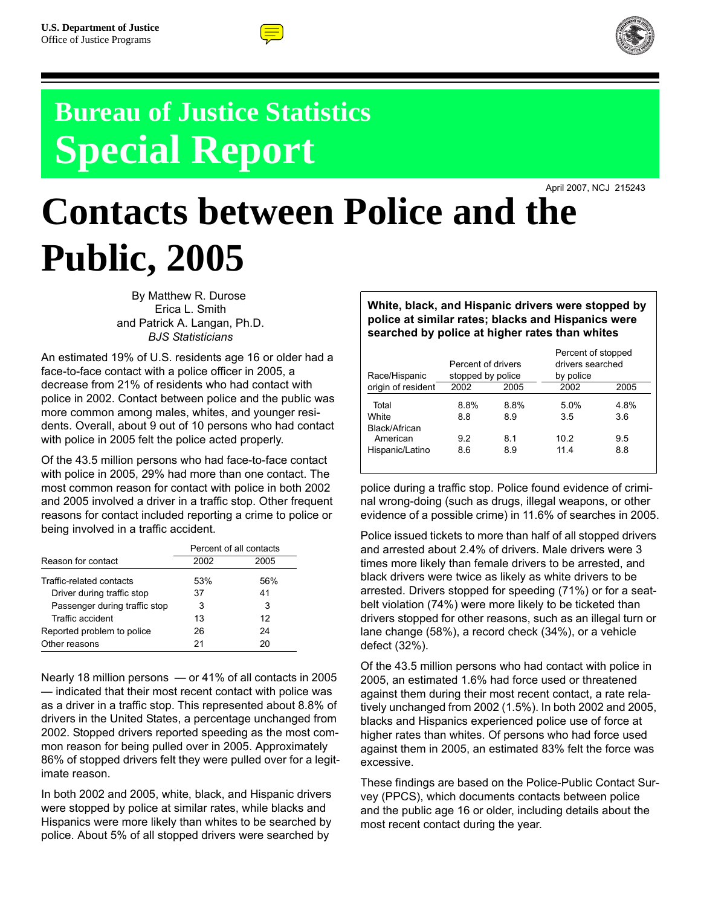



# **Bureau of Justice Statistics Special Report**

April 2007, NCJ 215243

# **Contacts between Police and the Public, 2005**

By Matthew R. Durose Erica L. Smith and Patrick A. Langan, Ph.D. *BJS Statisticians*

An estimated 19% of U.S. residents age 16 or older had a face-to-face contact with a police officer in 2005, a decrease from 21% of residents who had contact with police in 2002. Contact between police and the public was more common among males, whites, and younger residents. Overall, about 9 out of 10 persons who had contact with police in 2005 felt the police acted properly.

Of the 43.5 million persons who had face-to-face contact with police in 2005, 29% had more than one contact. The most common reason for contact with police in both 2002 and 2005 involved a driver in a traffic stop. Other frequent reasons for contact included reporting a crime to police or being involved in a traffic accident.

|                               | Percent of all contacts |      |  |  |
|-------------------------------|-------------------------|------|--|--|
| Reason for contact            | 2002                    | 2005 |  |  |
| Traffic-related contacts      | 53%                     | 56%  |  |  |
| Driver during traffic stop    | 37                      | 41   |  |  |
| Passenger during traffic stop | 3                       | 3    |  |  |
| Traffic accident              | 13                      | 12   |  |  |
| Reported problem to police    | 26                      | 24   |  |  |
| Other reasons                 | 21                      | 20   |  |  |

Nearly 18 million persons — or 41% of all contacts in 2005 — indicated that their most recent contact with police was as a driver in a traffic stop. This represented about 8.8% of drivers in the United States, a percentage unchanged from 2002. Stopped drivers reported speeding as the most common reason for being pulled over in 2005. Approximately 86% of stopped drivers felt they were pulled over for a legitimate reason.

In both 2002 and 2005, white, black, and Hispanic drivers were stopped by police at similar rates, while blacks and Hispanics were more likely than whites to be searched by police. About 5% of all stopped drivers were searched by

**White, black, and Hispanic drivers were stopped by police at similar rates; blacks and Hispanics were searched by police at higher rates than whites**

|      |            | Percent of stopped                                    |             |
|------|------------|-------------------------------------------------------|-------------|
|      |            | drivers searched                                      |             |
|      |            | by police                                             |             |
| 2002 | 2005       | 2002                                                  | 2005        |
| 8.8% | 8.8%       | 5.0%                                                  | 4.8%<br>3.6 |
|      |            |                                                       | 9.5         |
| 8.6  | 8.9        | 11.4                                                  | 8.8         |
|      | 8.8<br>9.2 | Percent of drivers<br>stopped by police<br>8.9<br>8.1 | 3.5<br>10.2 |

police during a traffic stop. Police found evidence of criminal wrong-doing (such as drugs, illegal weapons, or other evidence of a possible crime) in 11.6% of searches in 2005.

Police issued tickets to more than half of all stopped drivers and arrested about 2.4% of drivers. Male drivers were 3 times more likely than female drivers to be arrested, and black drivers were twice as likely as white drivers to be arrested. Drivers stopped for speeding (71%) or for a seatbelt violation (74%) were more likely to be ticketed than drivers stopped for other reasons, such as an illegal turn or lane change (58%), a record check (34%), or a vehicle defect (32%).

Of the 43.5 million persons who had contact with police in 2005, an estimated 1.6% had force used or threatened against them during their most recent contact, a rate relatively unchanged from 2002 (1.5%). In both 2002 and 2005, blacks and Hispanics experienced police use of force at higher rates than whites. Of persons who had force used against them in 2005, an estimated 83% felt the force was excessive.

These findings are based on the Police-Public Contact Survey (PPCS), which documents contacts between police and the public age 16 or older, including details about the most recent contact during the year.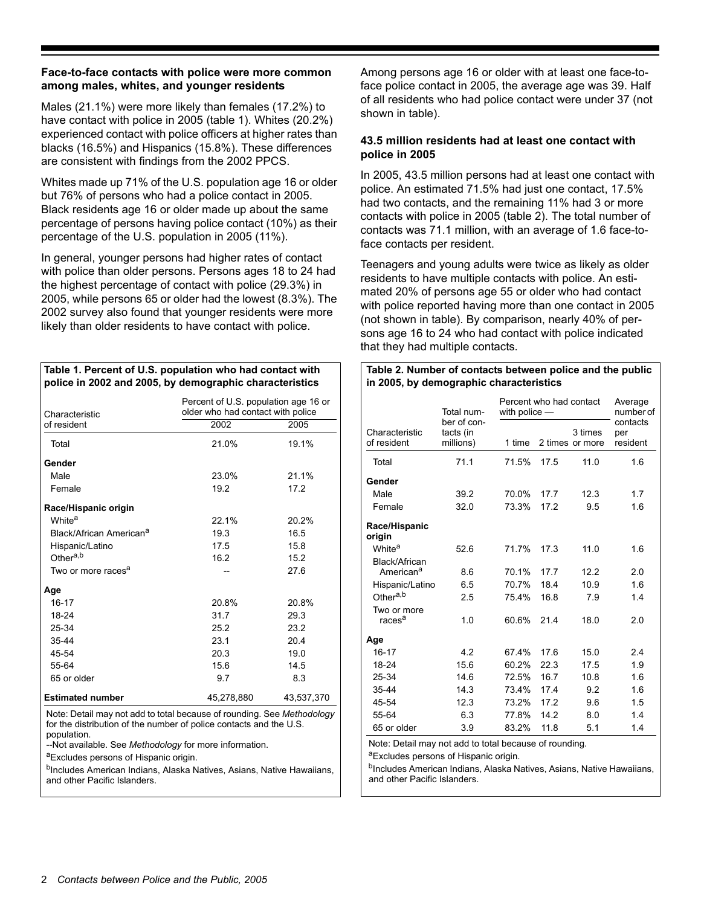#### **Face-to-face contacts with police were more common among males, whites, and younger residents**

Males (21.1%) were more likely than females (17.2%) to have contact with police in 2005 (table 1). Whites (20.2%) experienced contact with police officers at higher rates than blacks (16.5%) and Hispanics (15.8%). These differences are consistent with findings from the 2002 PPCS.

Whites made up 71% of the U.S. population age 16 or older but 76% of persons who had a police contact in 2005. Black residents age 16 or older made up about the same percentage of persons having police contact (10%) as their percentage of the U.S. population in 2005 (11%).

In general, younger persons had higher rates of contact with police than older persons. Persons ages 18 to 24 had the highest percentage of contact with police (29.3%) in 2005, while persons 65 or older had the lowest (8.3%). The 2002 survey also found that younger residents were more likely than older residents to have contact with police.

#### **Table 1. Percent of U.S. population who had contact with police in 2002 and 2005, by demographic characteristics**

| Percent of U.S. population age 16 or<br>older who had contact with police<br>Characteristic |            |            |  |  |
|---------------------------------------------------------------------------------------------|------------|------------|--|--|
| of resident                                                                                 | 2002       | 2005       |  |  |
| Total                                                                                       | 21.0%      | 19.1%      |  |  |
| Gender                                                                                      |            |            |  |  |
| Male                                                                                        | 23.0%      | 21.1%      |  |  |
| Female                                                                                      | 19.2       | 17.2       |  |  |
| Race/Hispanic origin                                                                        |            |            |  |  |
| White <sup>a</sup>                                                                          | 22.1%      | 20.2%      |  |  |
| Black/African American <sup>a</sup>                                                         | 19.3       | 16.5       |  |  |
| Hispanic/Latino                                                                             | 17.5       | 15.8       |  |  |
| Other <sup>a,b</sup>                                                                        | 16.2       | 15.2       |  |  |
| Two or more races <sup>a</sup>                                                              |            | 27.6       |  |  |
| Age                                                                                         |            |            |  |  |
| $16 - 17$                                                                                   | 20.8%      | 20.8%      |  |  |
| 18-24                                                                                       | 31.7       | 29.3       |  |  |
| 25-34                                                                                       | 25.2       | 23.2       |  |  |
| $35 - 44$                                                                                   | 23.1       | 20.4       |  |  |
| 45-54                                                                                       | 20.3       | 19.0       |  |  |
| 55-64                                                                                       | 15.6       | 14.5       |  |  |
| 65 or older                                                                                 | 9.7        | 8.3        |  |  |
| <b>Estimated number</b>                                                                     | 45,278,880 | 43,537,370 |  |  |

Note: Detail may not add to total because of rounding. See *Methodology* for the distribution of the number of police contacts and the U.S. population.

--Not available. See *Methodology* for more information.

aExcludes persons of Hispanic origin.

<sup>b</sup>Includes American Indians, Alaska Natives, Asians, Native Hawaiians, and other Pacific Islanders.

Among persons age 16 or older with at least one face-toface police contact in 2005, the average age was 39. Half of all residents who had police contact were under 37 (not shown in table).

#### **43.5 million residents had at least one contact with police in 2005**

In 2005, 43.5 million persons had at least one contact with police. An estimated 71.5% had just one contact, 17.5% had two contacts, and the remaining 11% had 3 or more contacts with police in 2005 (table 2). The total number of contacts was 71.1 million, with an average of 1.6 face-toface contacts per resident.

Teenagers and young adults were twice as likely as older residents to have multiple contacts with police. An estimated 20% of persons age 55 or older who had contact with police reported having more than one contact in 2005 (not shown in table). By comparison, nearly 40% of persons age 16 to 24 who had contact with police indicated that they had multiple contacts.

#### **Table 2. Number of contacts between police and the public in 2005, by demographic characteristics**

|                                        | Total num-                            | Percent who had contact<br>with police $-$ | Average<br>number of |                            |                             |
|----------------------------------------|---------------------------------------|--------------------------------------------|----------------------|----------------------------|-----------------------------|
| Characteristic<br>of resident          | ber of con-<br>tacts (in<br>millions) | 1 time                                     |                      | 3 times<br>2 times or more | contacts<br>per<br>resident |
| Total                                  | 71.1                                  | 71.5%                                      | 17.5                 | 11.0                       | 1.6                         |
| Gender                                 |                                       |                                            |                      |                            |                             |
| Male                                   | 39.2                                  | 70.0%                                      | 17.7                 | 12.3                       | 1.7                         |
| Female                                 | 32.0                                  | 73.3%                                      | 17.2                 | 9.5                        | 1.6                         |
| Race/Hispanic<br>origin                |                                       |                                            |                      |                            |                             |
| White <sup>a</sup>                     | 52.6                                  | 71.7%                                      | 17.3                 | 11.0                       | 1.6                         |
| Black/African<br>American <sup>a</sup> | 8.6                                   | 70.1%                                      | 17.7                 | 12.2                       | 2.0                         |
| Hispanic/Latino                        | 6.5                                   | 70.7%                                      | 18.4                 | 10.9                       | 1.6                         |
| Other <sup>a,b</sup>                   | 2.5                                   | 75.4%                                      | 16.8                 | 7.9                        | 1.4                         |
| Two or more<br>races <sup>a</sup>      | 1.0                                   | 60.6%                                      | 21.4                 | 18.0                       | 2.0                         |
| Age                                    |                                       |                                            |                      |                            |                             |
| 16-17                                  | 4.2                                   | 67.4%                                      | 17.6                 | 15.0                       | 2.4                         |
| 18-24                                  | 15.6                                  | 60.2%                                      | 22.3                 | 17.5                       | 1.9                         |
| 25-34                                  | 14.6                                  | 72.5%                                      | 16.7                 | 10.8                       | 1.6                         |
| 35-44                                  | 14.3                                  | 73.4%                                      | 17.4                 | 9.2                        | 1.6                         |
| 45-54                                  | 12.3                                  | 73.2%                                      | 17.2                 | 9.6                        | 1.5                         |
| 55-64                                  | 6.3                                   | 77.8%                                      | 14.2                 | 8.0                        | 1.4                         |
| 65 or older                            | 3.9                                   | 83.2%                                      | 11.8                 | 5.1                        | 1.4                         |

Note: Detail may not add to total because of rounding.

<sup>a</sup>Excludes persons of Hispanic origin.

<sup>b</sup>Includes American Indians, Alaska Natives, Asians, Native Hawaiians, and other Pacific Islanders.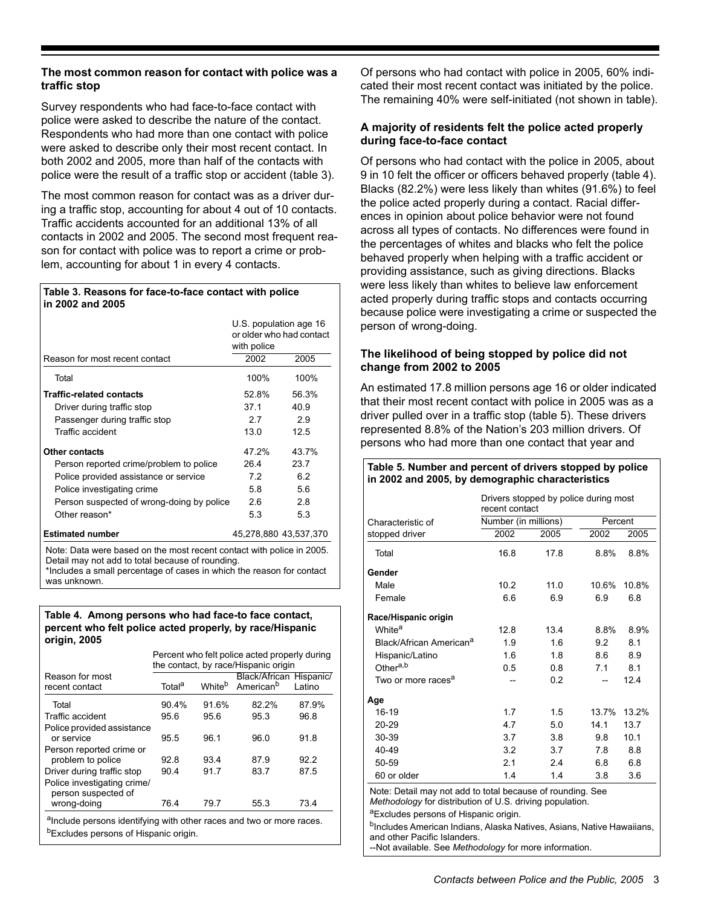## **The most common reason for contact with police was a traffic stop**

Survey respondents who had face-to-face contact with police were asked to describe the nature of the contact. Respondents who had more than one contact with police were asked to describe only their most recent contact. In both 2002 and 2005, more than half of the contacts with police were the result of a traffic stop or accident (table 3).

The most common reason for contact was as a driver during a traffic stop, accounting for about 4 out of 10 contacts. Traffic accidents accounted for an additional 13% of all contacts in 2002 and 2005. The second most frequent reason for contact with police was to report a crime or problem, accounting for about 1 in every 4 contacts.

#### **Table 3. Reasons for face-to-face contact with police in 2002 and 2005**

|                                                                       | U.S. population age 16<br>or older who had contact |                       |  |  |  |
|-----------------------------------------------------------------------|----------------------------------------------------|-----------------------|--|--|--|
|                                                                       | with police                                        |                       |  |  |  |
| Reason for most recent contact                                        | 2002                                               | 2005                  |  |  |  |
| Total                                                                 | 100%                                               | 100%                  |  |  |  |
| <b>Traffic-related contacts</b>                                       | 52.8%                                              | 56.3%                 |  |  |  |
| Driver during traffic stop                                            | 37.1                                               | 40.9                  |  |  |  |
| Passenger during traffic stop                                         | 2.7                                                | 2.9                   |  |  |  |
| Traffic accident                                                      | 13.0                                               | 12.5                  |  |  |  |
| <b>Other contacts</b>                                                 | 47.2%                                              | 43.7%                 |  |  |  |
| Person reported crime/problem to police                               | 26.4                                               | 23.7                  |  |  |  |
| Police provided assistance or service                                 | 7.2                                                | 6.2                   |  |  |  |
| Police investigating crime                                            | 5.8                                                | 5.6                   |  |  |  |
| Person suspected of wrong-doing by police                             | 2.6                                                | 2.8                   |  |  |  |
| Other reason*                                                         | 5.3                                                | 5.3                   |  |  |  |
| <b>Estimated number</b>                                               |                                                    | 45.278.880 43.537.370 |  |  |  |
| Note: Data were based on the most recent contact with police in 2005. |                                                    |                       |  |  |  |

Detail may not add to total because of rounding. \*Includes a small percentage of cases in which the reason for contact was unknown.

#### **Table 4. Among persons who had face-to face contact, percent who felt police acted properly, by race/Hispanic origin, 2005**

|                                                                                  | Percent who felt police acted properly during<br>the contact, by race/Hispanic origin |                    |                                                  |        |  |  |
|----------------------------------------------------------------------------------|---------------------------------------------------------------------------------------|--------------------|--------------------------------------------------|--------|--|--|
| Reason for most<br>recent contact                                                | Total <sup>a</sup>                                                                    | White <sup>b</sup> | Black/African Hispanic/<br>American <sup>b</sup> | Latino |  |  |
| Total                                                                            | 90.4%                                                                                 | 91.6%              | 82.2%                                            | 87.9%  |  |  |
| Traffic accident                                                                 | 95.6                                                                                  | 95.6               | 95.3                                             | 96.8   |  |  |
| Police provided assistance<br>or service                                         | 95.5                                                                                  | 96.1               | 96.0                                             | 91.8   |  |  |
| Person reported crime or<br>problem to police                                    | 92.8                                                                                  | 93.4               | 87.9                                             | 92.2   |  |  |
| Driver during traffic stop<br>Police investigating crime/<br>person suspected of | 90.4                                                                                  | 91.7               | 83.7                                             | 87.5   |  |  |
| wrong-doing                                                                      | 76.4                                                                                  | 79.7               | 55.3                                             | 73.4   |  |  |
| alnclude persons identifying with other races and two or more races.             |                                                                                       |                    |                                                  |        |  |  |

<sup>b</sup>Excludes persons of Hispanic origin.

Of persons who had contact with police in 2005, 60% indicated their most recent contact was initiated by the police. The remaining 40% were self-initiated (not shown in table).

# **A majority of residents felt the police acted properly during face-to-face contact**

Of persons who had contact with the police in 2005, about 9 in 10 felt the officer or officers behaved properly (table 4). Blacks (82.2%) were less likely than whites (91.6%) to feel the police acted properly during a contact. Racial differences in opinion about police behavior were not found across all types of contacts. No differences were found in the percentages of whites and blacks who felt the police behaved properly when helping with a traffic accident or providing assistance, such as giving directions. Blacks were less likely than whites to believe law enforcement acted properly during traffic stops and contacts occurring because police were investigating a crime or suspected the person of wrong-doing.

# **The likelihood of being stopped by police did not change from 2002 to 2005**

An estimated 17.8 million persons age 16 or older indicated that their most recent contact with police in 2005 was as a driver pulled over in a traffic stop (table 5). These drivers represented 8.8% of the Nation's 203 million drivers. Of persons who had more than one contact that year and

#### **Table 5. Number and percent of drivers stopped by police in 2002 and 2005, by demographic characteristics**

|                                                            | Drivers stopped by police during most<br>recent contact |         |       |       |  |  |
|------------------------------------------------------------|---------------------------------------------------------|---------|-------|-------|--|--|
| Characteristic of                                          | Number (in millions)                                    | Percent |       |       |  |  |
| stopped driver                                             | 2002                                                    | 2005    | 2002  | 2005  |  |  |
| Total                                                      | 16.8                                                    | 17.8    | 8.8%  | 8.8%  |  |  |
| Gender                                                     |                                                         |         |       |       |  |  |
| Male                                                       | 10.2                                                    | 11.0    | 10.6% | 10.8% |  |  |
| Female                                                     | 6.6                                                     | 6.9     | 6.9   | 6.8   |  |  |
| Race/Hispanic origin                                       |                                                         |         |       |       |  |  |
| White <sup>a</sup>                                         | 12.8                                                    | 13.4    | 8.8%  | 8.9%  |  |  |
| Black/African American <sup>a</sup>                        | 1.9                                                     | 1.6     | 9.2   | 8.1   |  |  |
| Hispanic/Latino                                            | 1.6                                                     | 1.8     | 8.6   | 8.9   |  |  |
| Other <sup>a,b</sup>                                       | 0.5                                                     | 0.8     | 71    | 8.1   |  |  |
| Two or more races <sup>a</sup>                             |                                                         | 0.2     |       | 12.4  |  |  |
| Age                                                        |                                                         |         |       |       |  |  |
| 16-19                                                      | 1.7                                                     | 1.5     | 13.7% | 13.2% |  |  |
| 20-29                                                      | 4.7                                                     | 5.0     | 14.1  | 13.7  |  |  |
| 30-39                                                      | 3.7                                                     | 3.8     | 9.8   | 10.1  |  |  |
| 40-49                                                      | 3.2                                                     | 3.7     | 7.8   | 8.8   |  |  |
| 50-59                                                      | 2.1                                                     | 2.4     | 6.8   | 6.8   |  |  |
| 60 or older                                                | 1.4                                                     | 1.4     | 3.8   | 3.6   |  |  |
| Note: Detail may not add to total because of rounding. See |                                                         |         |       |       |  |  |

Note: Detail may not add to total because of rounding. See *Methodology* for distribution of U.S. driving population.

aExcludes persons of Hispanic origin.

<sup>b</sup>Includes American Indians, Alaska Natives, Asians, Native Hawaiians, and other Pacific Islanders.

--Not available. See *Methodology* for more information.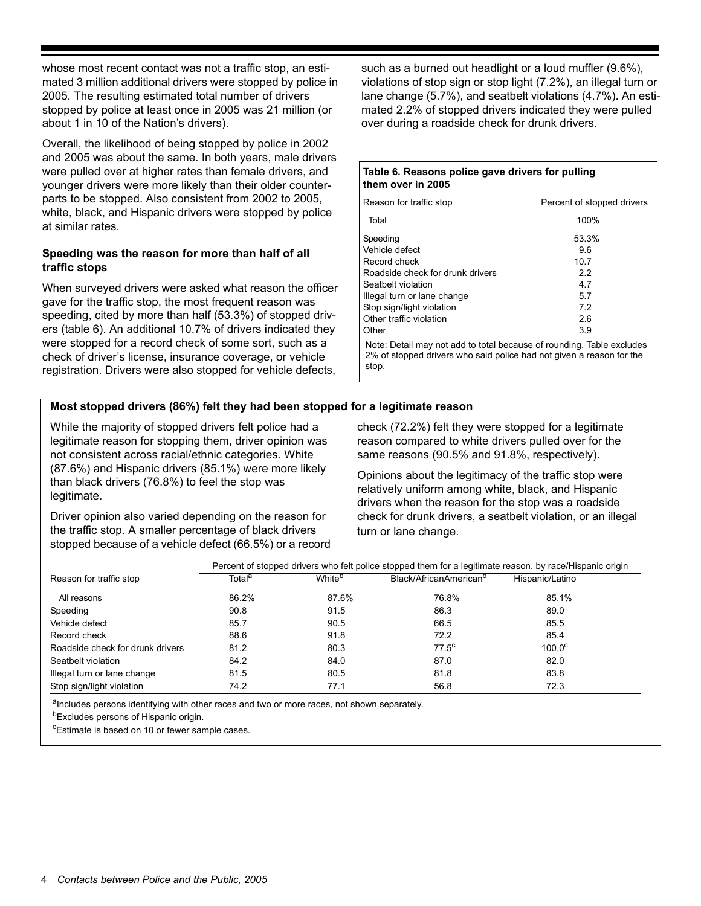whose most recent contact was not a traffic stop, an estimated 3 million additional drivers were stopped by police in 2005. The resulting estimated total number of drivers stopped by police at least once in 2005 was 21 million (or about 1 in 10 of the Nation's drivers).

Overall, the likelihood of being stopped by police in 2002 and 2005 was about the same. In both years, male drivers were pulled over at higher rates than female drivers, and younger drivers were more likely than their older counterparts to be stopped. Also consistent from 2002 to 2005, white, black, and Hispanic drivers were stopped by police at similar rates.

## **Speeding was the reason for more than half of all traffic stops**

When surveyed drivers were asked what reason the officer gave for the traffic stop, the most frequent reason was speeding, cited by more than half (53.3%) of stopped drivers (table 6). An additional 10.7% of drivers indicated they were stopped for a record check of some sort, such as a check of driver's license, insurance coverage, or vehicle registration. Drivers were also stopped for vehicle defects,

such as a burned out headlight or a loud muffler (9.6%), violations of stop sign or stop light (7.2%), an illegal turn or lane change (5.7%), and seatbelt violations (4.7%). An estimated 2.2% of stopped drivers indicated they were pulled over during a roadside check for drunk drivers.

#### **Table 6. Reasons police gave drivers for pulling them over in 2005**

| Reason for traffic stop                                                                                                                                | Percent of stopped drivers |  |  |  |
|--------------------------------------------------------------------------------------------------------------------------------------------------------|----------------------------|--|--|--|
| Total                                                                                                                                                  | 100%                       |  |  |  |
| Speeding                                                                                                                                               | 53.3%                      |  |  |  |
| Vehicle defect                                                                                                                                         | 9.6                        |  |  |  |
| Record check                                                                                                                                           | 10 7                       |  |  |  |
| Roadside check for drunk drivers                                                                                                                       | 22                         |  |  |  |
| Seatbelt violation                                                                                                                                     | 47                         |  |  |  |
| Illegal turn or lane change                                                                                                                            | 57                         |  |  |  |
| Stop sign/light violation                                                                                                                              | 72                         |  |  |  |
| Other traffic violation                                                                                                                                | 26                         |  |  |  |
| Other                                                                                                                                                  | 3.9                        |  |  |  |
| Note: Detail may not add to total because of rounding. Table excludes<br>2% of stopped drivers who said police had not given a reason for the<br>stop. |                            |  |  |  |

# **Most stopped drivers (86%) felt they had been stopped for a legitimate reason**

While the majority of stopped drivers felt police had a legitimate reason for stopping them, driver opinion was not consistent across racial/ethnic categories. White (87.6%) and Hispanic drivers (85.1%) were more likely than black drivers (76.8%) to feel the stop was legitimate.

Driver opinion also varied depending on the reason for the traffic stop. A smaller percentage of black drivers stopped because of a vehicle defect (66.5%) or a record check (72.2%) felt they were stopped for a legitimate reason compared to white drivers pulled over for the same reasons (90.5% and 91.8%, respectively).

Opinions about the legitimacy of the traffic stop were relatively uniform among white, black, and Hispanic drivers when the reason for the stop was a roadside check for drunk drivers, a seatbelt violation, or an illegal turn or lane change.

| Reason for traffic stop          | Total <sup>a</sup> | White <sup>b</sup> | Black/AfricanAmerican <sup>b</sup> | Hispanic/Latino |
|----------------------------------|--------------------|--------------------|------------------------------------|-----------------|
| All reasons                      | 86.2%              | 87.6%              | 76.8%                              | 85.1%           |
| Speeding                         | 90.8               | 91.5               | 86.3                               | 89.0            |
| Vehicle defect                   | 85.7               | 90.5               | 66.5                               | 85.5            |
| Record check                     | 88.6               | 91.8               | 72.2                               | 85.4            |
| Roadside check for drunk drivers | 81.2               | 80.3               | $77.5^{\circ}$                     | $100.0^{\circ}$ |
| Seatbelt violation               | 84.2               | 84.0               | 87.0                               | 82.0            |
| Illegal turn or lane change      | 81.5               | 80.5               | 81.8                               | 83.8            |
| Stop sign/light violation        | 74.2               | 77.1               | 56.8                               | 72.3            |

alncludes persons identifying with other races and two or more races, not shown separately.

bExcludes persons of Hispanic origin.

c Estimate is based on 10 or fewer sample cases.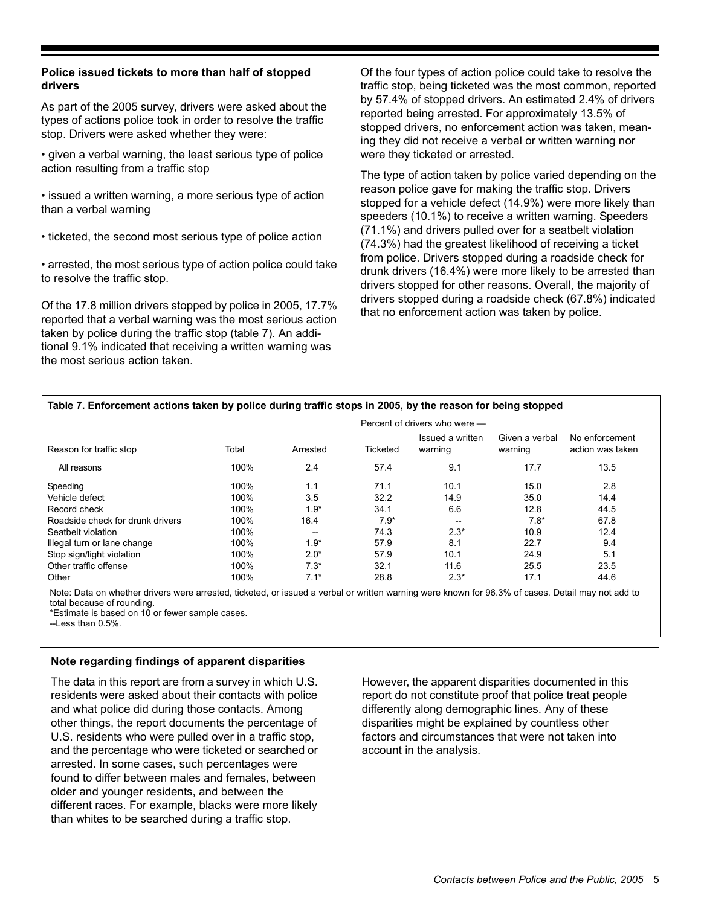## **Police issued tickets to more than half of stopped drivers**

As part of the 2005 survey, drivers were asked about the types of actions police took in order to resolve the traffic stop. Drivers were asked whether they were:

• given a verbal warning, the least serious type of police action resulting from a traffic stop

• issued a written warning, a more serious type of action than a verbal warning

• ticketed, the second most serious type of police action

• arrested, the most serious type of action police could take to resolve the traffic stop.

Of the 17.8 million drivers stopped by police in 2005, 17.7% reported that a verbal warning was the most serious action taken by police during the traffic stop (table 7). An additional 9.1% indicated that receiving a written warning was the most serious action taken.

Of the four types of action police could take to resolve the traffic stop, being ticketed was the most common, reported by 57.4% of stopped drivers. An estimated 2.4% of drivers reported being arrested. For approximately 13.5% of stopped drivers, no enforcement action was taken, meaning they did not receive a verbal or written warning nor were they ticketed or arrested.

The type of action taken by police varied depending on the reason police gave for making the traffic stop. Drivers stopped for a vehicle defect (14.9%) were more likely than speeders (10.1%) to receive a written warning. Speeders (71.1%) and drivers pulled over for a seatbelt violation (74.3%) had the greatest likelihood of receiving a ticket from police. Drivers stopped during a roadside check for drunk drivers (16.4%) were more likely to be arrested than drivers stopped for other reasons. Overall, the majority of drivers stopped during a roadside check (67.8%) indicated that no enforcement action was taken by police.

#### **Table 7. Enforcement actions taken by police during traffic stops in 2005, by the reason for being stopped**

|                                  |       | Percent of drivers who were - |          |                             |                           |                                    |
|----------------------------------|-------|-------------------------------|----------|-----------------------------|---------------------------|------------------------------------|
| Reason for traffic stop          | Total | Arrested                      | Ticketed | Issued a written<br>warning | Given a verbal<br>warning | No enforcement<br>action was taken |
| All reasons                      | 100%  | 2.4                           | 57.4     | 9.1                         | 17.7                      | 13.5                               |
| Speeding                         | 100%  | 1.1                           | 71.1     | 10.1                        | 15.0                      | 2.8                                |
| Vehicle defect                   | 100%  | 3.5                           | 32.2     | 14.9                        | 35.0                      | 14.4                               |
| Record check                     | 100%  | $1.9*$                        | 34.1     | 6.6                         | 12.8                      | 44.5                               |
| Roadside check for drunk drivers | 100%  | 16.4                          | $7.9*$   | $- -$                       | $7.8*$                    | 67.8                               |
| Seatbelt violation               | 100%  | --                            | 74.3     | $2.3*$                      | 10.9                      | 12.4                               |
| Illegal turn or lane change      | 100%  | $1.9*$                        | 57.9     | 8.1                         | 22.7                      | 9.4                                |
| Stop sign/light violation        | 100%  | $2.0*$                        | 57.9     | 10.1                        | 24.9                      | 5.1                                |
| Other traffic offense            | 100%  | $7.3*$                        | 32.1     | 11.6                        | 25.5                      | 23.5                               |
| Other                            | 100%  | $7.1*$                        | 28.8     | $2.3*$                      | 17.1                      | 44.6                               |

Note: Data on whether drivers were arrested, ticketed, or issued a verbal or written warning were known for 96.3% of cases. Detail may not add to total because of rounding.

\*Estimate is based on 10 or fewer sample cases.

 $-$ Less than 0.5%

# **Note regarding findings of apparent disparities**

The data in this report are from a survey in which U.S. residents were asked about their contacts with police and what police did during those contacts. Among other things, the report documents the percentage of U.S. residents who were pulled over in a traffic stop, and the percentage who were ticketed or searched or arrested. In some cases, such percentages were found to differ between males and females, between older and younger residents, and between the different races. For example, blacks were more likely than whites to be searched during a traffic stop.

However, the apparent disparities documented in this report do not constitute proof that police treat people differently along demographic lines. Any of these disparities might be explained by countless other factors and circumstances that were not taken into account in the analysis.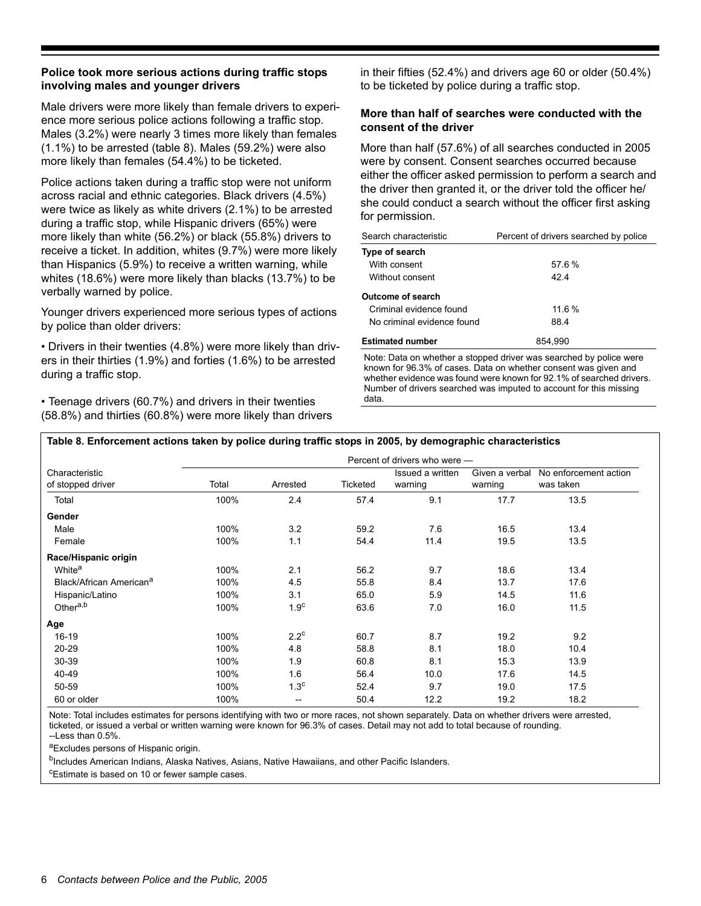### **Police took more serious actions during traffic stops involving males and younger drivers**

Male drivers were more likely than female drivers to experience more serious police actions following a traffic stop. Males (3.2%) were nearly 3 times more likely than females (1.1%) to be arrested (table 8). Males (59.2%) were also more likely than females (54.4%) to be ticketed.

Police actions taken during a traffic stop were not uniform across racial and ethnic categories. Black drivers (4.5%) were twice as likely as white drivers (2.1%) to be arrested during a traffic stop, while Hispanic drivers (65%) were more likely than white (56.2%) or black (55.8%) drivers to receive a ticket. In addition, whites (9.7%) were more likely than Hispanics (5.9%) to receive a written warning, while whites (18.6%) were more likely than blacks (13.7%) to be verbally warned by police.

Younger drivers experienced more serious types of actions by police than older drivers:

• Drivers in their twenties (4.8%) were more likely than drivers in their thirties (1.9%) and forties (1.6%) to be arrested during a traffic stop.

• Teenage drivers (60.7%) and drivers in their twenties (58.8%) and thirties (60.8%) were more likely than drivers in their fifties (52.4%) and drivers age 60 or older (50.4%) to be ticketed by police during a traffic stop.

## **More than half of searches were conducted with the consent of the driver**

More than half (57.6%) of all searches conducted in 2005 were by consent. Consent searches occurred because either the officer asked permission to perform a search and the driver then granted it, or the driver told the officer he/ she could conduct a search without the officer first asking for permission.

| Search characteristic      | Percent of drivers searched by police |
|----------------------------|---------------------------------------|
| Type of search             |                                       |
| With consent               | 57.6%                                 |
| Without consent            | 424                                   |
| <b>Outcome of search</b>   |                                       |
| Criminal evidence found    | 11.6%                                 |
| No criminal evidence found | 88.4                                  |
| <b>Estimated number</b>    | 854.990                               |

Note: Data on whether a stopped driver was searched by police were known for 96.3% of cases. Data on whether consent was given and whether evidence was found were known for 92.1% of searched drivers. Number of drivers searched was imputed to account for this missing data.

#### **Table 8. Enforcement actions taken by police during traffic stops in 2005, by demographic characteristics**

|                                     | Percent of drivers who were - |                                     |          |                             |                           |                                    |
|-------------------------------------|-------------------------------|-------------------------------------|----------|-----------------------------|---------------------------|------------------------------------|
| Characteristic<br>of stopped driver | Total                         | Arrested                            | Ticketed | Issued a written<br>warning | Given a verbal<br>warning | No enforcement action<br>was taken |
| Total                               | 100%                          | 2.4                                 | 57.4     | 9.1                         | 17.7                      | 13.5                               |
| Gender                              |                               |                                     |          |                             |                           |                                    |
| Male                                | 100%                          | 3.2                                 | 59.2     | 7.6                         | 16.5                      | 13.4                               |
| Female                              | 100%                          | 1.1                                 | 54.4     | 11.4                        | 19.5                      | 13.5                               |
| Race/Hispanic origin                |                               |                                     |          |                             |                           |                                    |
| White <sup>a</sup>                  | 100%                          | 2.1                                 | 56.2     | 9.7                         | 18.6                      | 13.4                               |
| Black/African American <sup>a</sup> | 100%                          | 4.5                                 | 55.8     | 8.4                         | 13.7                      | 17.6                               |
| Hispanic/Latino                     | 100%                          | 3.1                                 | 65.0     | 5.9                         | 14.5                      | 11.6                               |
| Othera,b                            | 100%                          | 1.9 <sup>c</sup>                    | 63.6     | 7.0                         | 16.0                      | 11.5                               |
| Age                                 |                               |                                     |          |                             |                           |                                    |
| $16-19$                             | 100%                          | $2.2^{\circ}$                       | 60.7     | 8.7                         | 19.2                      | 9.2                                |
| $20 - 29$                           | 100%                          | 4.8                                 | 58.8     | 8.1                         | 18.0                      | 10.4                               |
| 30-39                               | 100%                          | 1.9                                 | 60.8     | 8.1                         | 15.3                      | 13.9                               |
| 40-49                               | 100%                          | 1.6                                 | 56.4     | 10.0                        | 17.6                      | 14.5                               |
| 50-59                               | 100%                          | 1.3 <sup>c</sup>                    | 52.4     | 9.7                         | 19.0                      | 17.5                               |
| 60 or older                         | 100%                          | $\hspace{0.05cm}$ $\hspace{0.05cm}$ | 50.4     | 12.2                        | 19.2                      | 18.2                               |

Note: Total includes estimates for persons identifying with two or more races, not shown separately. Data on whether drivers were arrested, ticketed, or issued a verbal or written warning were known for 96.3% of cases. Detail may not add to total because of rounding. --Less than 0.5%.

aExcludes persons of Hispanic origin.

<sup>b</sup>Includes American Indians, Alaska Natives, Asians, Native Hawaiians, and other Pacific Islanders.

c Estimate is based on 10 or fewer sample cases.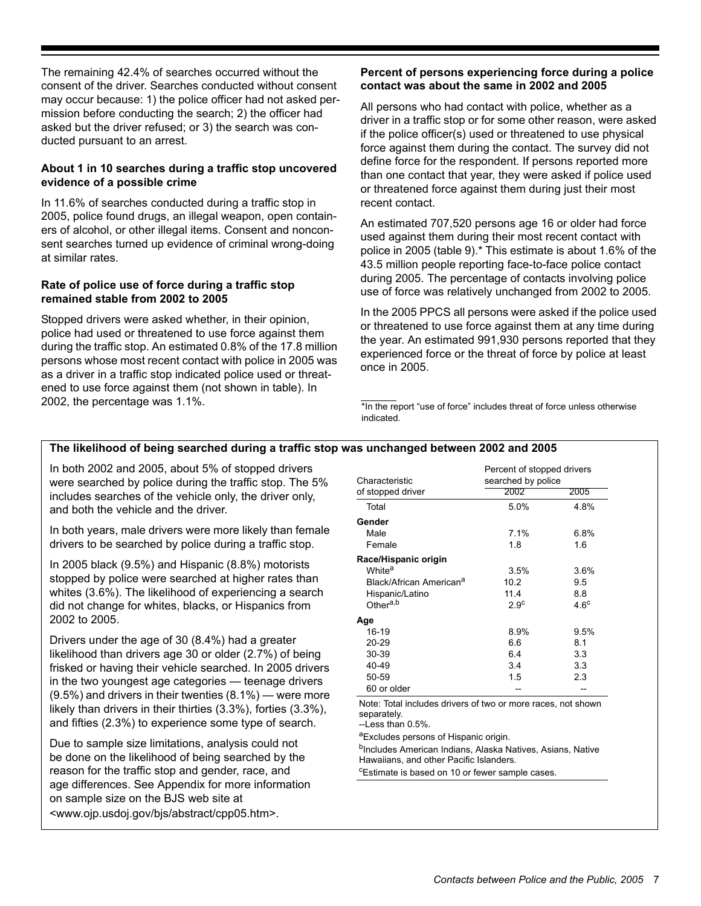The remaining 42.4% of searches occurred without the consent of the driver. Searches conducted without consent may occur because: 1) the police officer had not asked permission before conducting the search; 2) the officer had asked but the driver refused; or 3) the search was conducted pursuant to an arrest.

# **About 1 in 10 searches during a traffic stop uncovered evidence of a possible crime**

In 11.6% of searches conducted during a traffic stop in 2005, police found drugs, an illegal weapon, open containers of alcohol, or other illegal items. Consent and nonconsent searches turned up evidence of criminal wrong-doing at similar rates.

#### **Rate of police use of force during a traffic stop remained stable from 2002 to 2005**

Stopped drivers were asked whether, in their opinion, police had used or threatened to use force against them during the traffic stop. An estimated 0.8% of the 17.8 million persons whose most recent contact with police in 2005 was as a driver in a traffic stop indicated police used or threatened to use force against them (not shown in table). In 2002, the percentage was 1.1%.

# **Percent of persons experiencing force during a police contact was about the same in 2002 and 2005**

All persons who had contact with police, whether as a driver in a traffic stop or for some other reason, were asked if the police officer(s) used or threatened to use physical force against them during the contact. The survey did not define force for the respondent. If persons reported more than one contact that year, they were asked if police used or threatened force against them during just their most recent contact.

An estimated 707,520 persons age 16 or older had force used against them during their most recent contact with police in 2005 (table 9).\* This estimate is about 1.6% of the 43.5 million people reporting face-to-face police contact during 2005. The percentage of contacts involving police use of force was relatively unchanged from 2002 to 2005.

In the 2005 PPCS all persons were asked if the police used or threatened to use force against them at any time during the year. An estimated 991,930 persons reported that they experienced force or the threat of force by police at least once in 2005.

\*In the report "use of force" includes threat of force unless otherwise indicated.

# **The likelihood of being searched during a traffic stop was unchanged between 2002 and 2005**

In both 2002 and 2005, about 5% of stopped drivers were searched by police during the traffic stop. The 5% includes searches of the vehicle only, the driver only, and both the vehicle and the driver.

In both years, male drivers were more likely than female drivers to be searched by police during a traffic stop.

In 2005 black (9.5%) and Hispanic (8.8%) motorists stopped by police were searched at higher rates than whites (3.6%). The likelihood of experiencing a search did not change for whites, blacks, or Hispanics from 2002 to 2005.

Drivers under the age of 30 (8.4%) had a greater likelihood than drivers age 30 or older (2.7%) of being frisked or having their vehicle searched. In 2005 drivers in the two youngest age categories — teenage drivers (9.5%) and drivers in their twenties (8.1%) — were more likely than drivers in their thirties (3.3%), forties (3.3%), and fifties (2.3%) to experience some type of search.

Due to sample size limitations, analysis could not be done on the likelihood of being searched by the reason for the traffic stop and gender, race, and age differences. See Appendix for more information on sample size on the BJS web site at <www.ojp.usdoj.gov/bjs/abstract/cpp05.htm>.

|                                     | Percent of stopped drivers |             |  |
|-------------------------------------|----------------------------|-------------|--|
| Characteristic                      | searched by police         |             |  |
| of stopped driver                   | 2002                       | 2005        |  |
| Total                               | 5.0%                       | 4.8%        |  |
| Gender                              |                            |             |  |
| Male                                | $7.1\%$                    | 6.8%        |  |
| Female                              | 1.8                        | 1.6         |  |
| Race/Hispanic origin                |                            |             |  |
| White <sup>a</sup>                  | 3.5%                       | 3.6%        |  |
| Black/African American <sup>a</sup> | 10.2                       | 9.5         |  |
| Hispanic/Latino                     | 11.4                       | 8.8         |  |
| Other <sup>a,b</sup>                | 2.9 <sup>c</sup>           | $4.6^\circ$ |  |
| Age                                 |                            |             |  |
| $16-19$                             | $8.9\%$                    | 9.5%        |  |
| 20-29                               | 6.6                        | 8.1         |  |
| 30-39                               | 6.4                        | 3.3         |  |
| 40-49                               | 3.4                        | 3.3         |  |
| 50-59                               | 1.5                        | 2.3         |  |
| 60 or older                         |                            |             |  |

Note: Total includes drivers of two or more races, not shown separately.

--Less than 0.5%.

aExcludes persons of Hispanic origin.

bIncludes American Indians, Alaska Natives, Asians, Native Hawaiians, and other Pacific Islanders.

<sup>c</sup>Estimate is based on 10 or fewer sample cases.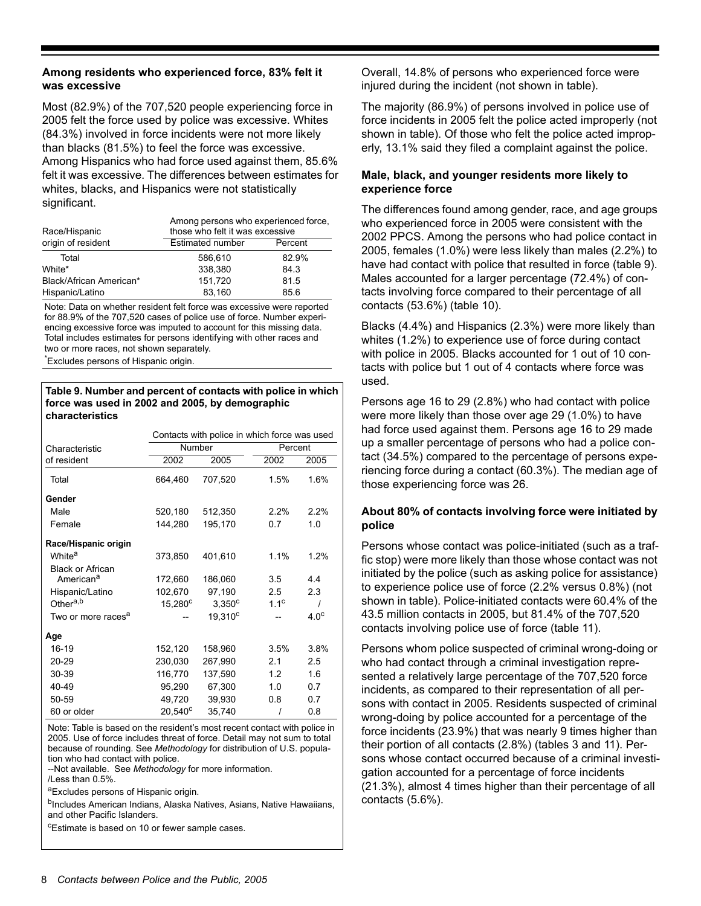#### **Among residents who experienced force, 83% felt it was excessive**

Most (82.9%) of the 707,520 people experiencing force in 2005 felt the force used by police was excessive. Whites (84.3%) involved in force incidents were not more likely than blacks (81.5%) to feel the force was excessive. Among Hispanics who had force used against them, 85.6% felt it was excessive. The differences between estimates for whites, blacks, and Hispanics were not statistically significant.

| Among persons who experienced force,<br>those who felt it was excessive |         |  |  |
|-------------------------------------------------------------------------|---------|--|--|
| <b>Estimated number</b>                                                 | Percent |  |  |
| 586.610                                                                 | 82.9%   |  |  |
| 338,380                                                                 | 84.3    |  |  |
| 151.720                                                                 | 81.5    |  |  |
| 83,160                                                                  | 85.6    |  |  |
|                                                                         |         |  |  |

Note: Data on whether resident felt force was excessive were reported for 88.9% of the 707,520 cases of police use of force. Number experiencing excessive force was imputed to account for this missing data. Total includes estimates for persons identifying with other races and two or more races, not shown separately.

\* Excludes persons of Hispanic origin.

#### **Table 9. Number and percent of contacts with police in which force was used in 2002 and 2005, by demographic characteristics**

|                                | Contacts with police in which force was used |                     |                  |                  |
|--------------------------------|----------------------------------------------|---------------------|------------------|------------------|
| Characteristic                 |                                              | <b>Number</b>       | Percent          |                  |
| of resident                    | 2002                                         | 2005                | 2002             | 2005             |
| Total                          | 664,460                                      | 707,520             | 1.5%             | 1.6%             |
| Gender                         |                                              |                     |                  |                  |
| Male                           | 520,180                                      | 512,350             | 2.2%             | 2.2%             |
| Female                         | 144,280                                      | 195,170             | 0.7              | 1.0              |
| Race/Hispanic origin           |                                              |                     |                  |                  |
| White <sup>a</sup>             | 373,850                                      | 401,610             | 1.1%             | 1.2%             |
| <b>Black or African</b>        |                                              |                     |                  |                  |
| American <sup>a</sup>          | 172,660                                      | 186,060             | 3.5              | 4.4              |
| Hispanic/Latino                | 102,670                                      | 97,190              | 2.5              | 2.3              |
| Other <sup>a,b</sup>           | $15,280^{\circ}$                             | $3,350^{\circ}$     | 1.1 <sup>c</sup> | Ι                |
| Two or more races <sup>a</sup> |                                              | 19.310 <sup>c</sup> |                  | 4.0 <sup>c</sup> |
| Age                            |                                              |                     |                  |                  |
| $16-19$                        | 152,120                                      | 158.960             | 3.5%             | 3.8%             |
| 20-29                          | 230,030                                      | 267,990             | 2.1              | 2.5              |
| 30-39                          | 116,770                                      | 137,590             | 12               | 1.6              |
| 40-49                          | 95,290                                       | 67,300              | 1.0              | 0.7              |
| 50-59                          | 49,720                                       | 39,930              | 0.8              | 0.7              |
| 60 or older                    | $20,540^{\circ}$                             | 35,740              | 1                | 0.8              |

Note: Table is based on the resident's most recent contact with police in 2005. Use of force includes threat of force. Detail may not sum to total because of rounding. See *Methodology* for distribution of U.S. population who had contact with police.

--Not available. See *Methodology* for more information.

/Less than 0.5%.

aExcludes persons of Hispanic origin.

<sup>b</sup>Includes American Indians, Alaska Natives, Asians, Native Hawaiians, and other Pacific Islanders.

cEstimate is based on 10 or fewer sample cases.

Overall, 14.8% of persons who experienced force were injured during the incident (not shown in table).

The majority (86.9%) of persons involved in police use of force incidents in 2005 felt the police acted improperly (not shown in table). Of those who felt the police acted improperly, 13.1% said they filed a complaint against the police.

# **Male, black, and younger residents more likely to experience force**

The differences found among gender, race, and age groups who experienced force in 2005 were consistent with the 2002 PPCS. Among the persons who had police contact in 2005, females (1.0%) were less likely than males (2.2%) to have had contact with police that resulted in force (table 9). Males accounted for a larger percentage (72.4%) of contacts involving force compared to their percentage of all contacts (53.6%) (table 10).

Blacks (4.4%) and Hispanics (2.3%) were more likely than whites (1.2%) to experience use of force during contact with police in 2005. Blacks accounted for 1 out of 10 contacts with police but 1 out of 4 contacts where force was used.

Persons age 16 to 29 (2.8%) who had contact with police were more likely than those over age 29 (1.0%) to have had force used against them. Persons age 16 to 29 made up a smaller percentage of persons who had a police contact (34.5%) compared to the percentage of persons experiencing force during a contact (60.3%). The median age of those experiencing force was 26.

# **About 80% of contacts involving force were initiated by police**

Persons whose contact was police-initiated (such as a traffic stop) were more likely than those whose contact was not initiated by the police (such as asking police for assistance) to experience police use of force (2.2% versus 0.8%) (not shown in table). Police-initiated contacts were 60.4% of the 43.5 million contacts in 2005, but 81.4% of the 707,520 contacts involving police use of force (table 11).

Persons whom police suspected of criminal wrong-doing or who had contact through a criminal investigation represented a relatively large percentage of the 707,520 force incidents, as compared to their representation of all persons with contact in 2005. Residents suspected of criminal wrong-doing by police accounted for a percentage of the force incidents (23.9%) that was nearly 9 times higher than their portion of all contacts (2.8%) (tables 3 and 11). Persons whose contact occurred because of a criminal investigation accounted for a percentage of force incidents (21.3%), almost 4 times higher than their percentage of all contacts (5.6%).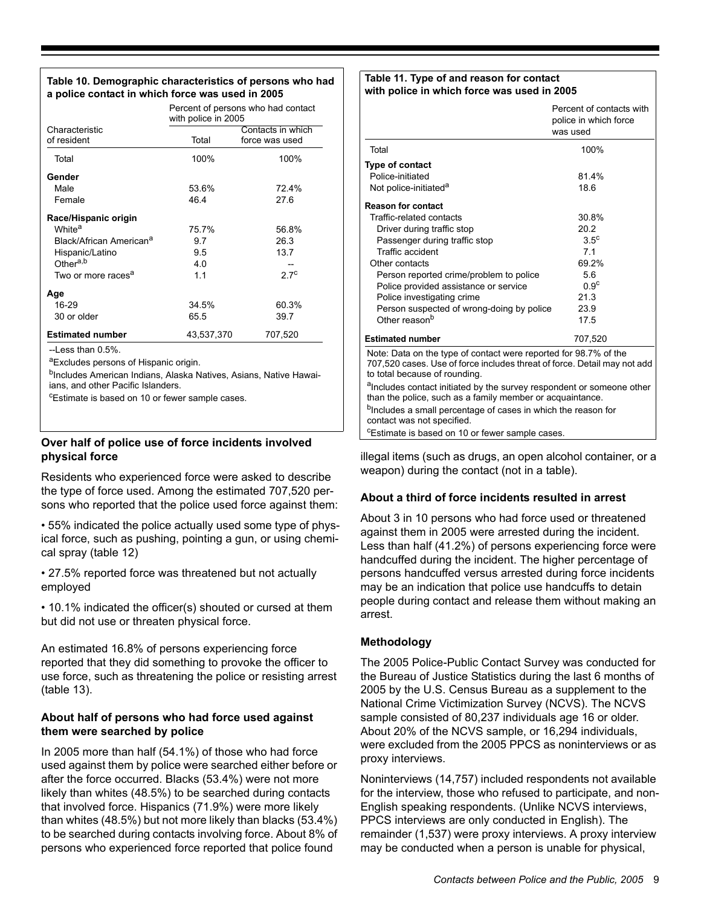#### **Table 10. Demographic characteristics of persons who had a police contact in which force was used in 2005**

|                                     | Percent of persons who had contact<br>with police in 2005 |                                     |  |
|-------------------------------------|-----------------------------------------------------------|-------------------------------------|--|
| Characteristic<br>of resident       | Total                                                     | Contacts in which<br>force was used |  |
| Total                               | 100%                                                      | 100%                                |  |
| Gender                              |                                                           |                                     |  |
| Male                                | 53.6%                                                     | 72.4%                               |  |
| Female                              | 46.4                                                      | 27.6                                |  |
| Race/Hispanic origin                |                                                           |                                     |  |
| White <sup>a</sup>                  | 75.7%                                                     | 56.8%                               |  |
| Black/African American <sup>a</sup> | 9.7                                                       | 26.3                                |  |
| Hispanic/Latino                     | 9.5                                                       | 13.7                                |  |
| Other <sup>a,b</sup>                | 4.0                                                       |                                     |  |
| Two or more races <sup>a</sup>      | 1.1                                                       | 27 <sup>c</sup>                     |  |
| Age                                 |                                                           |                                     |  |
| 16-29                               | 34.5%                                                     | 60.3%                               |  |
| 30 or older                         | 65.5                                                      | 39.7                                |  |
| <b>Estimated number</b>             | 43,537,370                                                | 707,520                             |  |

-Less than 0.5%.

aExcludes persons of Hispanic origin.

bIncludes American Indians, Alaska Natives, Asians, Native Hawaiians, and other Pacific Islanders.

c Estimate is based on 10 or fewer sample cases.

# **Over half of police use of force incidents involved physical force**

Residents who experienced force were asked to describe the type of force used. Among the estimated 707,520 persons who reported that the police used force against them:

• 55% indicated the police actually used some type of physical force, such as pushing, pointing a gun, or using chemical spray (table 12)

• 27.5% reported force was threatened but not actually employed

• 10.1% indicated the officer(s) shouted or cursed at them but did not use or threaten physical force.

An estimated 16.8% of persons experiencing force reported that they did something to provoke the officer to use force, such as threatening the police or resisting arrest (table 13).

# **About half of persons who had force used against them were searched by police**

In 2005 more than half (54.1%) of those who had force used against them by police were searched either before or after the force occurred. Blacks (53.4%) were not more likely than whites (48.5%) to be searched during contacts that involved force. Hispanics (71.9%) were more likely than whites (48.5%) but not more likely than blacks (53.4%) to be searched during contacts involving force. About 8% of persons who experienced force reported that police found

#### **Table 11. Type of and reason for contact with police in which force was used in 2005**

|                                                                                                                                                                               | Percent of contacts with<br>police in which force<br>was used |
|-------------------------------------------------------------------------------------------------------------------------------------------------------------------------------|---------------------------------------------------------------|
| Total                                                                                                                                                                         | 100%                                                          |
| Type of contact                                                                                                                                                               |                                                               |
| Police-initiated                                                                                                                                                              | 81.4%                                                         |
| Not police-initiated <sup>a</sup>                                                                                                                                             | 18.6                                                          |
| <b>Reason for contact</b>                                                                                                                                                     |                                                               |
| Traffic-related contacts                                                                                                                                                      | 30.8%                                                         |
| Driver during traffic stop                                                                                                                                                    | 20.2                                                          |
| Passenger during traffic stop                                                                                                                                                 | $3.5^\circ$                                                   |
| Traffic accident                                                                                                                                                              | 7.1                                                           |
| Other contacts                                                                                                                                                                | 69.2%                                                         |
| Person reported crime/problem to police                                                                                                                                       | 5.6                                                           |
| Police provided assistance or service                                                                                                                                         | 0.9 <sup>c</sup>                                              |
| Police investigating crime                                                                                                                                                    | 21.3                                                          |
| Person suspected of wrong-doing by police                                                                                                                                     | 23.9                                                          |
| Other reason <sup>b</sup>                                                                                                                                                     | 17.5                                                          |
| <b>Estimated number</b>                                                                                                                                                       | 707,520                                                       |
| Note: Data on the type of contact were reported for 98.7% of the<br>707,520 cases. Use of force includes threat of force. Detail may not add<br>to total because of rounding. |                                                               |
| alncludes contact initiated by the survey respondent or someone other<br>than the police, such as a family member or acquaintance.                                            |                                                               |
| <sup>b</sup> Includes a small percentage of cases in which the reason for<br>contact was not specified.                                                                       |                                                               |
| <sup>c</sup> Estimate is based on 10 or fewer sample cases.                                                                                                                   |                                                               |

illegal items (such as drugs, an open alcohol container, or a weapon) during the contact (not in a table).

# **About a third of force incidents resulted in arrest**

About 3 in 10 persons who had force used or threatened against them in 2005 were arrested during the incident. Less than half (41.2%) of persons experiencing force were handcuffed during the incident. The higher percentage of persons handcuffed versus arrested during force incidents may be an indication that police use handcuffs to detain people during contact and release them without making an arrest.

# **Methodology**

The 2005 Police-Public Contact Survey was conducted for the Bureau of Justice Statistics during the last 6 months of 2005 by the U.S. Census Bureau as a supplement to the National Crime Victimization Survey (NCVS). The NCVS sample consisted of 80,237 individuals age 16 or older. About 20% of the NCVS sample, or 16,294 individuals, were excluded from the 2005 PPCS as noninterviews or as proxy interviews.

Noninterviews (14,757) included respondents not available for the interview, those who refused to participate, and non-English speaking respondents. (Unlike NCVS interviews, PPCS interviews are only conducted in English). The remainder (1,537) were proxy interviews. A proxy interview may be conducted when a person is unable for physical,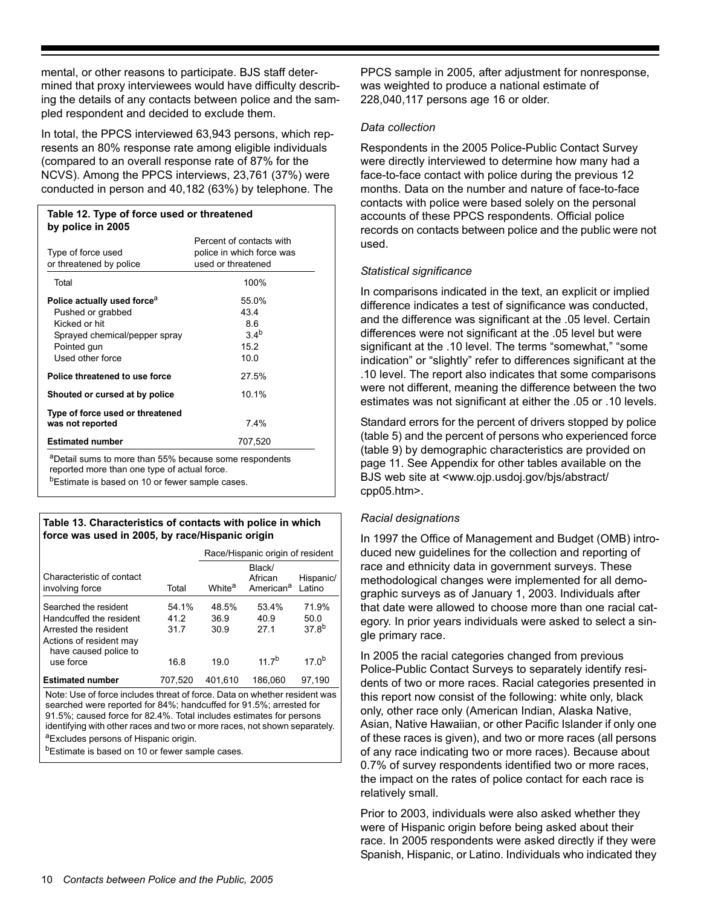mental, or other reasons to participate. BJS staff determined that proxy interviewees would have difficulty describing the details of any contacts between police and the sampled respondent and decided to exclude them.

In total, the PPCS interviewed 63,943 persons, which represents an 80% response rate among eligible individuals (compared to an overall response rate of 87% for the NCVS). Among the PPCS interviews, 23,761 (37%) were conducted in person and 40,182 (63%) by telephone. The

#### **Table 12. Type of force used or threatened by police in 2005**

| Type of force used<br>or threatened by police                                                                                                     | Percent of contacts with<br>police in which force was<br>used or threatened |
|---------------------------------------------------------------------------------------------------------------------------------------------------|-----------------------------------------------------------------------------|
| Total                                                                                                                                             | 100%                                                                        |
| Police actually used force <sup>a</sup><br>Pushed or grabbed<br>Kicked or hit<br>Sprayed chemical/pepper spray<br>Pointed gun<br>Used other force | 55.0%<br>43.4<br>86<br>34 <sup>b</sup><br>15.2<br>10.0                      |
| Police threatened to use force                                                                                                                    | 27.5%                                                                       |
| Shouted or cursed at by police                                                                                                                    | 10.1%                                                                       |
| Type of force used or threatened<br>was not reported                                                                                              | 7.4%                                                                        |
| <b>Estimated number</b>                                                                                                                           | 707,520                                                                     |

aDetail sums to more than 55% because some respondents reported more than one type of actual force.

b<sub>Estimate is based on 10 or fewer sample cases.</sub>

#### **Table 13. Characteristics of contacts with police in which force was used in 2005, by race/Hispanic origin**

|                                                                                                                               |                      | Race/Hispanic origin of resident |                                            |                             |
|-------------------------------------------------------------------------------------------------------------------------------|----------------------|----------------------------------|--------------------------------------------|-----------------------------|
| Characteristic of contact<br>involving force                                                                                  | Total                | White <sup>a</sup>               | Black/<br>African<br>American <sup>a</sup> | Hispanic/<br>Latino         |
| Searched the resident<br>Handcuffed the resident<br>Arrested the resident<br>Actions of resident may<br>have caused police to | 54.1%<br>41 2<br>317 | 48.5%<br>36.9<br>30.9            | 53.4%<br>40.9<br>271                       | 71.9%<br>50.0<br>$37.8^{b}$ |
| use force                                                                                                                     | 16.8                 | 19.0                             | $117^{b}$                                  | 17 $nb$                     |
| <b>Estimated number</b>                                                                                                       | 707.520              | 401.610                          | 186,060                                    | 97.190                      |
|                                                                                                                               |                      |                                  |                                            |                             |

Note: Use of force includes threat of force. Data on whether resident was searched were reported for 84%; handcuffed for 91.5%; arrested for 91.5%; caused force for 82.4%. Total includes estimates for persons identifying with other races and two or more races, not shown separately.

aExcludes persons of Hispanic origin.

<sup>b</sup>Estimate is based on 10 or fewer sample cases.

PPCS sample in 2005, after adjustment for nonresponse, was weighted to produce a national estimate of 228,040,117 persons age 16 or older.

#### *Data collection*

Respondents in the 2005 Police-Public Contact Survey were directly interviewed to determine how many had a face-to-face contact with police during the previous 12 months. Data on the number and nature of face-to-face contacts with police were based solely on the personal accounts of these PPCS respondents. Official police records on contacts between police and the public were not used.

# *Statistical significance*

In comparisons indicated in the text, an explicit or implied difference indicates a test of significance was conducted, and the difference was significant at the .05 level. Certain differences were not significant at the .05 level but were significant at the .10 level. The terms "somewhat," "some indication" or "slightly" refer to differences significant at the .10 level. The report also indicates that some comparisons were not different, meaning the difference between the two estimates was not significant at either the .05 or .10 levels.

Standard errors for the percent of drivers stopped by police (table 5) and the percent of persons who experienced force (table 9) by demographic characteristics are provided on page 11. See Appendix for other tables available on the BJS web site at <www.ojp.usdoj.gov/bjs/abstract/ cpp05.htm>.

# *Racial designations*

In 1997 the Office of Management and Budget (OMB) introduced new guidelines for the collection and reporting of race and ethnicity data in government surveys. These methodological changes were implemented for all demographic surveys as of January 1, 2003. Individuals after that date were allowed to choose more than one racial category. In prior years individuals were asked to select a single primary race.

In 2005 the racial categories changed from previous Police-Public Contact Surveys to separately identify residents of two or more races. Racial categories presented in this report now consist of the following: white only, black only, other race only (American Indian, Alaska Native, Asian, Native Hawaiian, or other Pacific Islander if only one of these races is given), and two or more races (all persons of any race indicating two or more races). Because about 0.7% of survey respondents identified two or more races, the impact on the rates of police contact for each race is relatively small.

Prior to 2003, individuals were also asked whether they were of Hispanic origin before being asked about their race. In 2005 respondents were asked directly if they were Spanish, Hispanic, or Latino. Individuals who indicated they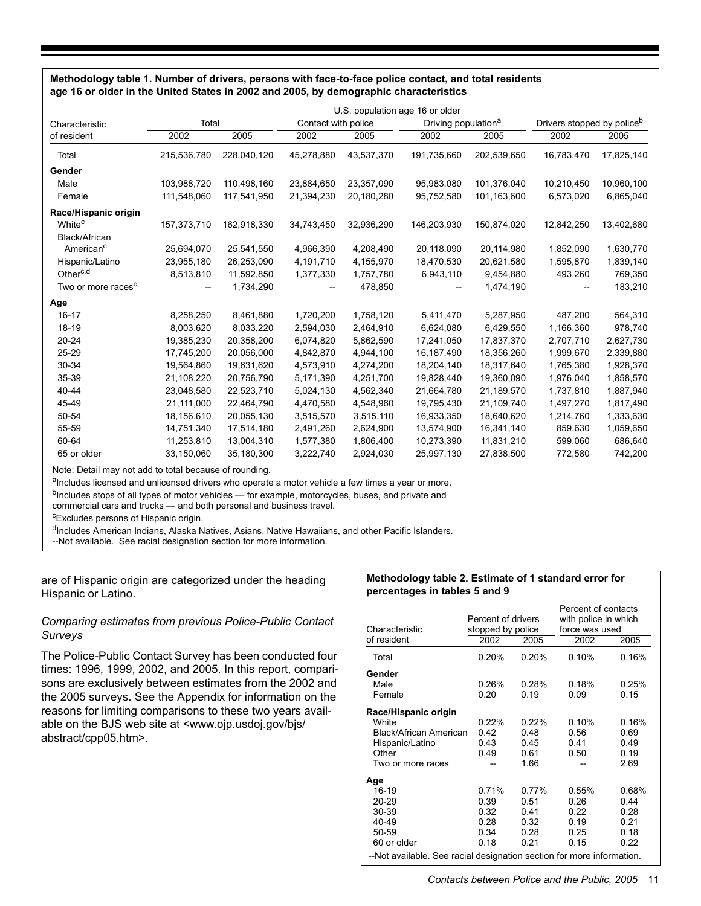#### **Methodology table 1. Number of drivers, persons with face-to-face police contact, and total residents age 16 or older in the United States in 2002 and 2005, by demographic characteristics**

|                                | U.S. population age 16 or older |             |                     |            |                                 |             |                                        |            |
|--------------------------------|---------------------------------|-------------|---------------------|------------|---------------------------------|-------------|----------------------------------------|------------|
| Characteristic                 | Total                           |             | Contact with police |            | Driving population <sup>a</sup> |             | Drivers stopped by police <sup>b</sup> |            |
| of resident                    | 2002                            | 2005        | 2002                | 2005       | 2002                            | 2005        | 2002                                   | 2005       |
| Total                          | 215,536,780                     | 228,040,120 | 45,278,880          | 43,537,370 | 191,735,660                     | 202,539,650 | 16,783,470                             | 17,825,140 |
| Gender                         |                                 |             |                     |            |                                 |             |                                        |            |
| Male                           | 103.988.720                     | 110.498.160 | 23.884.650          | 23,357,090 | 95.983.080                      | 101.376.040 | 10,210,450                             | 10,960,100 |
| Female                         | 111,548,060                     | 117,541,950 | 21,394,230          | 20,180,280 | 95,752,580                      | 101,163,600 | 6,573,020                              | 6,865,040  |
| Race/Hispanic origin           |                                 |             |                     |            |                                 |             |                                        |            |
| White <sup>c</sup>             | 157,373,710                     | 162,918,330 | 34,743,450          | 32,936,290 | 146,203,930                     | 150,874,020 | 12,842,250                             | 13,402,680 |
| Black/African                  |                                 |             |                     |            |                                 |             |                                        |            |
| American <sup>c</sup>          | 25,694,070                      | 25,541,550  | 4,966,390           | 4,208,490  | 20,118,090                      | 20,114,980  | 1,852,090                              | 1,630,770  |
| Hispanic/Latino                | 23,955,180                      | 26,253,090  | 4,191,710           | 4,155,970  | 18,470,530                      | 20,621,580  | 1,595,870                              | 1,839,140  |
| Other <sup>c,d</sup>           | 8,513,810                       | 11,592,850  | 1,377,330           | 1,757,780  | 6,943,110                       | 9,454,880   | 493,260                                | 769,350    |
| Two or more races <sup>c</sup> |                                 | 1,734,290   |                     | 478,850    |                                 | 1,474,190   |                                        | 183,210    |
| Age                            |                                 |             |                     |            |                                 |             |                                        |            |
| $16 - 17$                      | 8,258,250                       | 8,461,880   | 1,720,200           | 1,758,120  | 5,411,470                       | 5,287,950   | 487.200                                | 564,310    |
| $18-19$                        | 8,003,620                       | 8,033,220   | 2,594,030           | 2,464,910  | 6,624,080                       | 6,429,550   | 1,166,360                              | 978,740    |
| 20-24                          | 19,385,230                      | 20,358,200  | 6,074,820           | 5,862,590  | 17,241,050                      | 17,837,370  | 2,707,710                              | 2,627,730  |
| 25-29                          | 17,745,200                      | 20,056,000  | 4,842,870           | 4,944,100  | 16,187,490                      | 18,356,260  | 1,999,670                              | 2,339,880  |
| 30-34                          | 19,564,860                      | 19,631,620  | 4,573,910           | 4,274,200  | 18,204,140                      | 18,317,640  | 1,765,380                              | 1,928,370  |
| 35-39                          | 21,108,220                      | 20,756,790  | 5,171,390           | 4,251,700  | 19,828,440                      | 19,360,090  | 1,976,040                              | 1,858,570  |
| 40-44                          | 23,048,580                      | 22,523,710  | 5,024,130           | 4,562,340  | 21,664,780                      | 21,189,570  | 1,737,810                              | 1,887,940  |
| 45-49                          | 21,111,000                      | 22,464,790  | 4,470,580           | 4,548,960  | 19,795,430                      | 21,109,740  | 1,497,270                              | 1,817,490  |
| 50-54                          | 18,156,610                      | 20,055,130  | 3,515,570           | 3,515,110  | 16,933,350                      | 18,640,620  | 1,214,760                              | 1,333,630  |
| 55-59                          | 14,751,340                      | 17,514,180  | 2,491,260           | 2,624,900  | 13,574,900                      | 16,341,140  | 859,630                                | 1,059,650  |
| 60-64                          | 11,253,810                      | 13,004,310  | 1,577,380           | 1,806,400  | 10,273,390                      | 11,831,210  | 599,060                                | 686,640    |
| 65 or older                    | 33,150,060                      | 35,180,300  | 3,222,740           | 2,924,030  | 25,997,130                      | 27,838,500  | 772,580                                | 742,200    |

Note: Detail may not add to total because of rounding.

aIncludes licensed and unlicensed drivers who operate a motor vehicle a few times a year or more.

bIncludes stops of all types of motor vehicles - for example, motorcycles, buses, and private and

commercial cars and trucks — and both personal and business travel.

<sup>c</sup>Excludes persons of Hispanic origin.

dIncludes American Indians, Alaska Natives, Asians, Native Hawaiians, and other Pacific Islanders.

--Not available. See racial designation section for more information.

#### are of Hispanic origin are categorized under the heading Hispanic or Latino.

# *Comparing estimates from previous Police-Public Contact Surveys*

The Police-Public Contact Survey has been conducted four times: 1996, 1999, 2002, and 2005. In this report, comparisons are exclusively between estimates from the 2002 and the 2005 surveys. See the Appendix for information on the reasons for limiting comparisons to these two years available on the BJS web site at <www.ojp.usdoj.gov/bjs/ abstract/cpp05.htm>.

#### **Methodology table 2. Estimate of 1 standard error for percentages in tables 5 and 9**

| Characteristic<br>of resident                                                                                                                                                                                                                                                                                                                | Percent of drivers<br>stopped by police<br>2002 | 2005                                  | Percent of contacts<br>with police in which<br>force was used<br>2002 | 2005                                  |  |
|----------------------------------------------------------------------------------------------------------------------------------------------------------------------------------------------------------------------------------------------------------------------------------------------------------------------------------------------|-------------------------------------------------|---------------------------------------|-----------------------------------------------------------------------|---------------------------------------|--|
| Total                                                                                                                                                                                                                                                                                                                                        | 0.20%                                           | 0.20%                                 | 0.10%                                                                 | 0.16%                                 |  |
| Gender<br>Male<br>Female                                                                                                                                                                                                                                                                                                                     | 0.26%<br>0.20                                   | 0.28%<br>0.19                         | 0.18%<br>0.09                                                         | 0.25%<br>0.15                         |  |
| Race/Hispanic origin<br>White<br>Black/African American<br>Hispanic/Latino<br>Other<br>Two or more races                                                                                                                                                                                                                                     | 0.22%<br>0.42<br>0.43<br>0.49                   | 0.22%<br>0.48<br>0.45<br>0.61<br>1.66 | 0.10%<br>0.56<br>0.41<br>0.50                                         | 0.16%<br>0.69<br>0.49<br>0.19<br>2.69 |  |
| Age<br>16-19<br>0.71%<br>0.77%<br>0.55%<br>0.68%<br>20-29<br>0.39<br>0.26<br>0.51<br>0.44<br>30-39<br>0.32<br>0.41<br>0.22<br>0.28<br>40-49<br>0.28<br>0.32<br>0.19<br>0.21<br>50-59<br>0.34<br>0.28<br>0.25<br>0.18<br>0.18<br>0.21<br>0.22<br>60 or older<br>0.15<br>--Not available. See racial designation section for more information. |                                                 |                                       |                                                                       |                                       |  |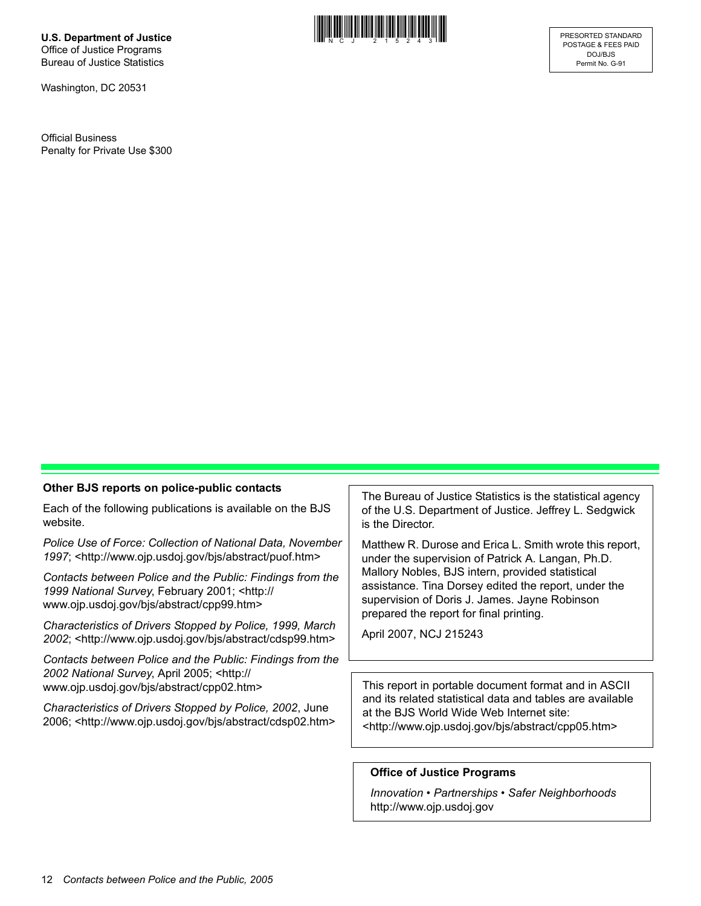**U.S. Department of Justice** Office of Justice Programs Bureau of Justice Statistics

Washington, DC 20531

Official Business Penalty for Private Use \$300



#### **Other BJS reports on police-public contacts**

Each of the following publications is available on the BJS website.

*Police Use of Force: Collection of National Data, November 1997*; <http://www.ojp.usdoj.gov/bjs/abstract/puof.htm>

*Contacts between Police and the Public: Findings from the 1999 National Survey*, February 2001; <http:// www.ojp.usdoj.gov/bjs/abstract/cpp99.htm>

*Characteristics of Drivers Stopped by Police, 1999, March 2002*; <http://www.ojp.usdoj.gov/bjs/abstract/cdsp99.htm>

*Contacts between Police and the Public: Findings from the 2002 National Survey*, April 2005; <http:// www.ojp.usdoj.gov/bjs/abstract/cpp02.htm>

*Characteristics of Drivers Stopped by Police, 2002*, June 2006; <http://www.ojp.usdoj.gov/bjs/abstract/cdsp02.htm> The Bureau of Justice Statistics is the statistical agency of the U.S. Department of Justice. Jeffrey L. Sedgwick is the Director.

Matthew R. Durose and Erica L. Smith wrote this report, under the supervision of Patrick A. Langan, Ph.D. Mallory Nobles, BJS intern, provided statistical assistance. Tina Dorsey edited the report, under the supervision of Doris J. James. Jayne Robinson prepared the report for final printing.

April 2007, NCJ 215243

This report in portable document format and in ASCII and its related statistical data and tables are available at the BJS World Wide Web Internet site: <http://www.ojp.usdoj.gov/bjs/abstract/cpp05.htm>

#### **Office of Justice Programs**

*Innovation • Partnerships • Safer Neighborhoods* http://www.ojp.usdoj.gov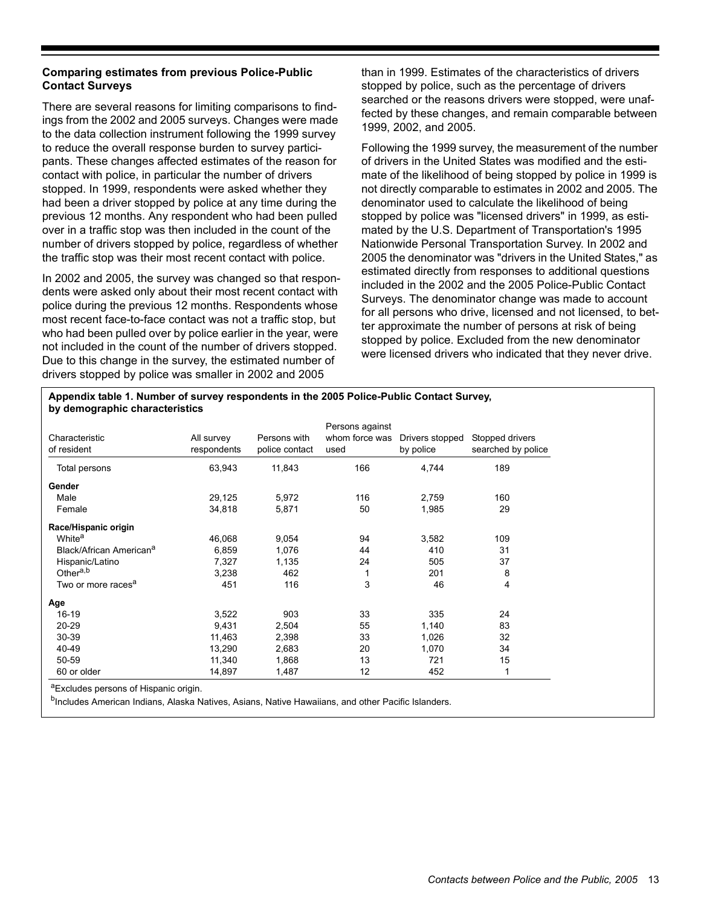## **Comparing estimates from previous Police-Public Contact Surveys**

There are several reasons for limiting comparisons to findings from the 2002 and 2005 surveys. Changes were made to the data collection instrument following the 1999 survey to reduce the overall response burden to survey participants. These changes affected estimates of the reason for contact with police, in particular the number of drivers stopped. In 1999, respondents were asked whether they had been a driver stopped by police at any time during the previous 12 months. Any respondent who had been pulled over in a traffic stop was then included in the count of the number of drivers stopped by police, regardless of whether the traffic stop was their most recent contact with police.

In 2002 and 2005, the survey was changed so that respondents were asked only about their most recent contact with police during the previous 12 months. Respondents whose most recent face-to-face contact was not a traffic stop, but who had been pulled over by police earlier in the year, were not included in the count of the number of drivers stopped. Due to this change in the survey, the estimated number of drivers stopped by police was smaller in 2002 and 2005

than in 1999. Estimates of the characteristics of drivers stopped by police, such as the percentage of drivers searched or the reasons drivers were stopped, were unaffected by these changes, and remain comparable between 1999, 2002, and 2005.

Following the 1999 survey, the measurement of the number of drivers in the United States was modified and the estimate of the likelihood of being stopped by police in 1999 is not directly comparable to estimates in 2002 and 2005. The denominator used to calculate the likelihood of being stopped by police was "licensed drivers" in 1999, as estimated by the U.S. Department of Transportation's 1995 Nationwide Personal Transportation Survey. In 2002 and 2005 the denominator was "drivers in the United States," as estimated directly from responses to additional questions included in the 2002 and the 2005 Police-Public Contact Surveys. The denominator change was made to account for all persons who drive, licensed and not licensed, to better approximate the number of persons at risk of being stopped by police. Excluded from the new denominator were licensed drivers who indicated that they never drive.

#### **Appendix table 1. Number of survey respondents in the 2005 Police-Public Contact Survey, by demographic characteristics**

| Characteristic<br>of resident       | All survey<br>respondents | Persons with<br>police contact | Persons against<br>whom force was<br>used | Drivers stopped<br>by police | Stopped drivers<br>searched by police |
|-------------------------------------|---------------------------|--------------------------------|-------------------------------------------|------------------------------|---------------------------------------|
| Total persons                       | 63,943                    | 11,843                         | 166                                       | 4,744                        | 189                                   |
| Gender                              |                           |                                |                                           |                              |                                       |
| Male                                | 29,125                    | 5,972                          | 116                                       | 2,759                        | 160                                   |
| Female                              | 34,818                    | 5,871                          | 50                                        | 1,985                        | 29                                    |
| Race/Hispanic origin                |                           |                                |                                           |                              |                                       |
| White <sup>a</sup>                  | 46,068                    | 9,054                          | 94                                        | 3,582                        | 109                                   |
| Black/African American <sup>a</sup> | 6,859                     | 1,076                          | 44                                        | 410                          | 31                                    |
| Hispanic/Latino                     | 7,327                     | 1,135                          | 24                                        | 505                          | 37                                    |
| Other <sup>a,b</sup>                | 3,238                     | 462                            |                                           | 201                          | 8                                     |
| Two or more races <sup>a</sup>      | 451                       | 116                            | 3                                         | 46                           | 4                                     |
| Age                                 |                           |                                |                                           |                              |                                       |
| $16-19$                             | 3,522                     | 903                            | 33                                        | 335                          | 24                                    |
| 20-29                               | 9,431                     | 2,504                          | 55                                        | 1,140                        | 83                                    |
| 30-39                               | 11,463                    | 2,398                          | 33                                        | 1,026                        | 32                                    |
| 40-49                               | 13,290                    | 2,683                          | 20                                        | 1,070                        | 34                                    |
| 50-59                               | 11,340                    | 1,868                          | 13                                        | 721                          | 15                                    |
| 60 or older                         | 14,897                    | 1,487                          | 12                                        | 452                          | 1                                     |

aExcludes persons of Hispanic origin.

bIncludes American Indians, Alaska Natives, Asians, Native Hawaiians, and other Pacific Islanders.